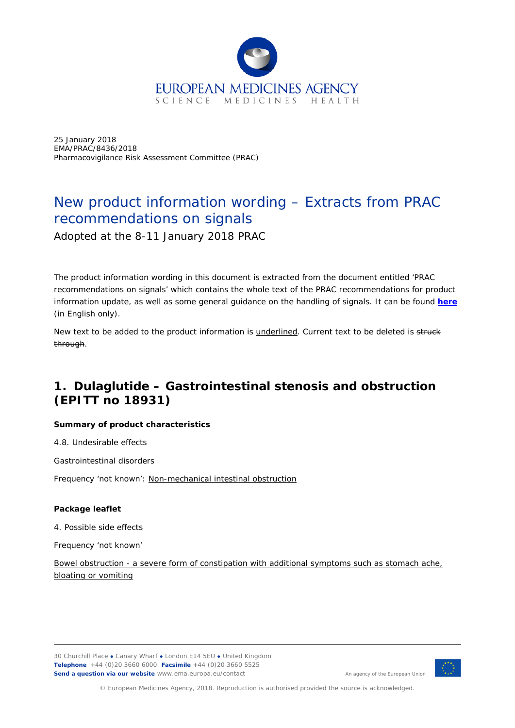

25 January 2018 EMA/PRAC/8436/2018 Pharmacovigilance Risk Assessment Committee (PRAC)

# New product information wording – Extracts from PRAC recommendations on signals

Adopted at the 8-11 January 2018 PRAC

The product information wording in this document is extracted from the document entitled 'PRAC recommendations on signals' which contains the whole text of the PRAC recommendations for product information update, as well as some general guidance on the handling of signals. It can be found *[here](http://www.ema.europa.eu/docs/en_GB/document_library/PRAC_recommendation_on_signal/2018/01/WC500242002.pdf)* (in English only).

New text to be added to the product information is **underlined**. Current text to be deleted is struck through.

## **1. Dulaglutide – Gastrointestinal stenosis and obstruction (EPITT no 18931)**

#### **Summary of product characteristics**

4.8. Undesirable effects

Gastrointestinal disorders

Frequency 'not known': Non-mechanical intestinal obstruction

#### **Package leaflet**

4. Possible side effects

Frequency 'not known'

Bowel obstruction - a severe form of constipation with additional symptoms such as stomach ache, bloating or vomiting

30 Churchill Place **●** Canary Wharf **●** London E14 5EU **●** United Kingdom **Telephone** +44 (0)20 3660 6000 **Facsimile** +44 (0)20 3660 5525 **Send a question via our website** www.ema.europa.eu/contact



An agency of the European Union

© European Medicines Agency, 2018. Reproduction is authorised provided the source is acknowledged.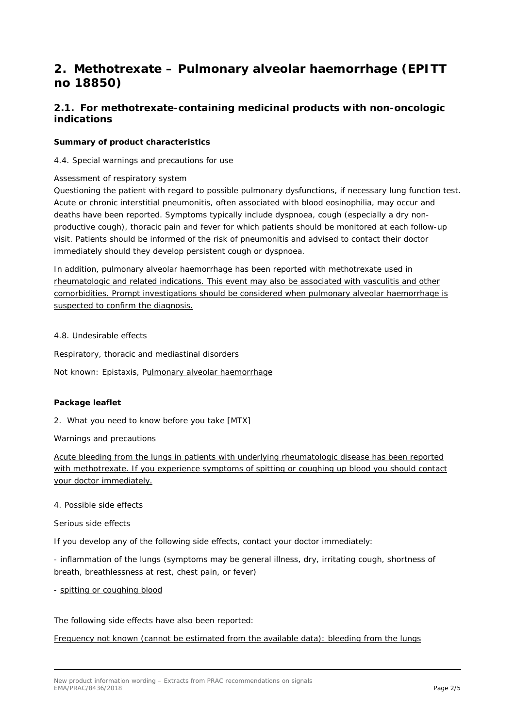## **2. Methotrexate – Pulmonary alveolar haemorrhage (EPITT no 18850)**

### *2.1. For methotrexate-containing medicinal products with non-oncologic indications*

#### **Summary of product characteristics**

4.4. Special warnings and precautions for use

#### Assessment of respiratory system

Questioning the patient with regard to possible pulmonary dysfunctions, if necessary lung function test. Acute or chronic interstitial pneumonitis, often associated with blood eosinophilia, may occur and deaths have been reported. Symptoms typically include dyspnoea, cough (especially a dry nonproductive cough), thoracic pain and fever for which patients should be monitored at each follow-up visit. Patients should be informed of the risk of pneumonitis and advised to contact their doctor immediately should they develop persistent cough or dyspnoea.

In addition, pulmonary alveolar haemorrhage has been reported with methotrexate used in rheumatologic and related indications. This event may also be associated with vasculitis and other comorbidities. Prompt investigations should be considered when pulmonary alveolar haemorrhage is suspected to confirm the diagnosis.

4.8. Undesirable effects

Respiratory, thoracic and mediastinal disorders

Not known: Epistaxis, Pulmonary alveolar haemorrhage

#### **Package leaflet**

2. What you need to know before you take [MTX]

Warnings and precautions

Acute bleeding from the lungs in patients with underlying rheumatologic disease has been reported with methotrexate. If you experience symptoms of spitting or coughing up blood you should contact your doctor immediately.

#### 4. Possible side effects

Serious side effects

If you develop any of the following side effects, contact your doctor immediately:

*-* inflammation of the lungs (symptoms may be general illness, dry, irritating cough, shortness of breath, breathlessness at rest, chest pain, or fever)

#### - spitting or coughing blood

The following side effects have also been reported:

#### Frequency not known (cannot be estimated from the available data): bleeding from the lungs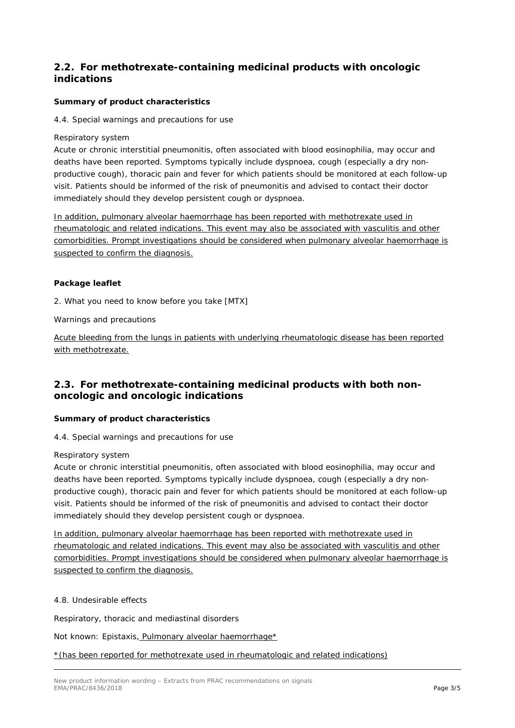### *2.2. For methotrexate-containing medicinal products with oncologic indications*

#### **Summary of product characteristics**

4.4. Special warnings and precautions for use

Respiratory system

Acute or chronic interstitial pneumonitis, often associated with blood eosinophilia, may occur and deaths have been reported. Symptoms typically include dyspnoea, cough (especially a dry nonproductive cough), thoracic pain and fever for which patients should be monitored at each follow-up visit. Patients should be informed of the risk of pneumonitis and advised to contact their doctor immediately should they develop persistent cough or dyspnoea.

In addition, pulmonary alveolar haemorrhage has been reported with methotrexate used in rheumatologic and related indications. This event may also be associated with vasculitis and other comorbidities. Prompt investigations should be considered when pulmonary alveolar haemorrhage is suspected to confirm the diagnosis.

#### **Package leaflet**

2. What you need to know before you take [MTX]

Warnings and precautions

Acute bleeding from the lungs in patients with underlying rheumatologic disease has been reported with methotrexate.

### *2.3. For methotrexate-containing medicinal products with both nononcologic and oncologic indications*

#### **Summary of product characteristics**

4.4. Special warnings and precautions for use

#### Respiratory system

Acute or chronic interstitial pneumonitis, often associated with blood eosinophilia, may occur and deaths have been reported. Symptoms typically include dyspnoea, cough (especially a dry nonproductive cough), thoracic pain and fever for which patients should be monitored at each follow-up visit. Patients should be informed of the risk of pneumonitis and advised to contact their doctor immediately should they develop persistent cough or dyspnoea.

In addition, pulmonary alveolar haemorrhage has been reported with methotrexate used in rheumatologic and related indications. This event may also be associated with vasculitis and other comorbidities. Prompt investigations should be considered when pulmonary alveolar haemorrhage is suspected to confirm the diagnosis.

#### 4.8. Undesirable effects

Respiratory, thoracic and mediastinal disorders

Not known: Epistaxis, Pulmonary alveolar haemorrhage\*

\*(has been reported for methotrexate used in rheumatologic and related indications)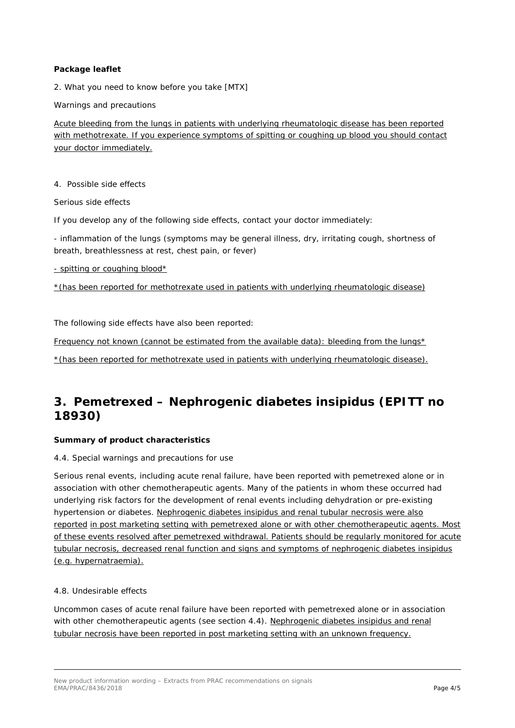#### **Package leaflet**

2. What you need to know before you take [MTX]

Warnings and precautions

Acute bleeding from the lungs in patients with underlying rheumatologic disease has been reported with methotrexate. If you experience symptoms of spitting or coughing up blood you should contact your doctor immediately.

4. Possible side effects

Serious side effects

If you develop any of the following side effects, contact your doctor immediately:

- inflammation of the lungs (symptoms may be general illness, dry, irritating cough, shortness of breath, breathlessness at rest, chest pain, or fever)

- spitting or coughing blood\*

\*(has been reported for methotrexate used in patients with underlying rheumatologic disease)

The following side effects have also been reported:

Frequency not known (cannot be estimated from the available data): bleeding from the lungs\*

\*(has been reported for methotrexate used in patients with underlying rheumatologic disease).

## **3. Pemetrexed – Nephrogenic diabetes insipidus (EPITT no 18930)**

#### **Summary of product characteristics**

4.4. Special warnings and precautions for use

Serious renal events, including acute renal failure, have been reported with pemetrexed alone or in association with other chemotherapeutic agents. Many of the patients in whom these occurred had underlying risk factors for the development of renal events including dehydration or pre-existing hypertension or diabetes. Nephrogenic diabetes insipidus and renal tubular necrosis were also reported in post marketing setting with pemetrexed alone or with other chemotherapeutic agents. Most of these events resolved after pemetrexed withdrawal. Patients should be regularly monitored for acute tubular necrosis, decreased renal function and signs and symptoms of nephrogenic diabetes insipidus (e.g. hypernatraemia).

#### 4.8. Undesirable effects

Uncommon cases of acute renal failure have been reported with pemetrexed alone or in association with other chemotherapeutic agents (see section 4.4). Nephrogenic diabetes insipidus and renal tubular necrosis have been reported in post marketing setting with an unknown frequency.